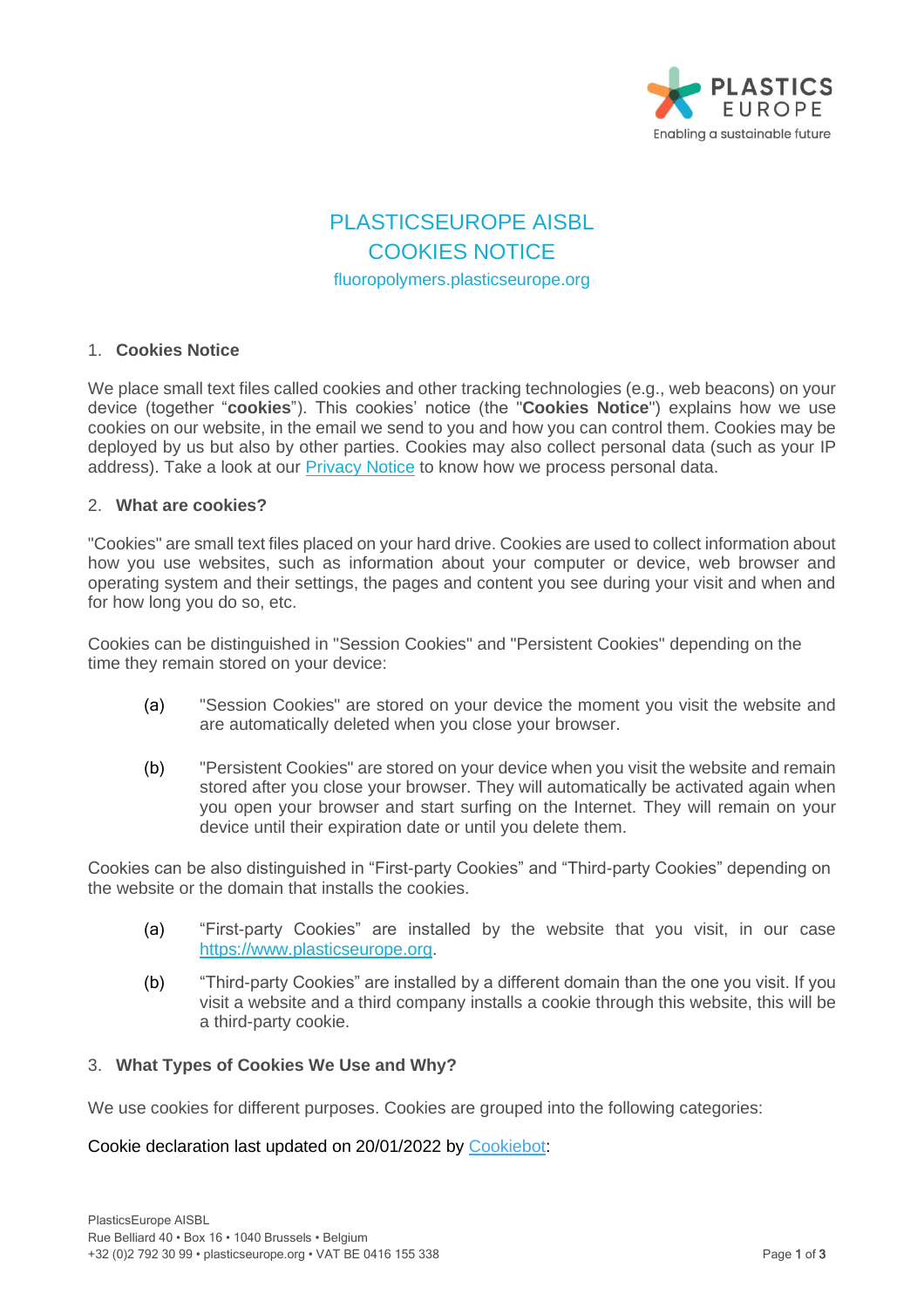

# PLASTICSEUROPE AISBL COOKIES NOTICE fluoropolymers.plasticseurope.org

# 1. **Cookies Notice**

We place small text files called cookies and other tracking technologies (e.g., web beacons) on your device (together "**cookies**"). This cookies' notice (the "**Cookies Notice**") explains how we use cookies on our website, in the email we send to you and how you can control them. Cookies may be deployed by us but also by other parties. Cookies may also collect personal data (such as your IP address). Take a look at our [Privacy Notice](https://www.plasticseurope.org/download_file/4384/0) to know how we process personal data.

#### 2. **What are cookies?**

"Cookies" are small text files placed on your hard drive. Cookies are used to collect information about how you use websites, such as information about your computer or device, web browser and operating system and their settings, the pages and content you see during your visit and when and for how long you do so, etc.

Cookies can be distinguished in "Session Cookies" and "Persistent Cookies" depending on the time they remain stored on your device:

- (a) "Session Cookies" are stored on your device the moment you visit the website and are automatically deleted when you close your browser.
- (b) "Persistent Cookies" are stored on your device when you visit the website and remain stored after you close your browser. They will automatically be activated again when you open your browser and start surfing on the Internet. They will remain on your device until their expiration date or until you delete them.

Cookies can be also distinguished in "First-party Cookies" and "Third-party Cookies" depending on the website or the domain that installs the cookies.

- (a) "First-party Cookies" are installed by the website that you visit, in our case [https://www.plasticseurope.org.](https://www.plasticseurope.org/)
- (b) "Third-party Cookies" are installed by a different domain than the one you visit. If you visit a website and a third company installs a cookie through this website, this will be a third-party cookie.

# 3. **What Types of Cookies We Use and Why?**

We use cookies for different purposes. Cookies are grouped into the following categories:

Cookie declaration last updated on 20/01/2022 by [Cookiebot:](https://www.cookiebot.com/)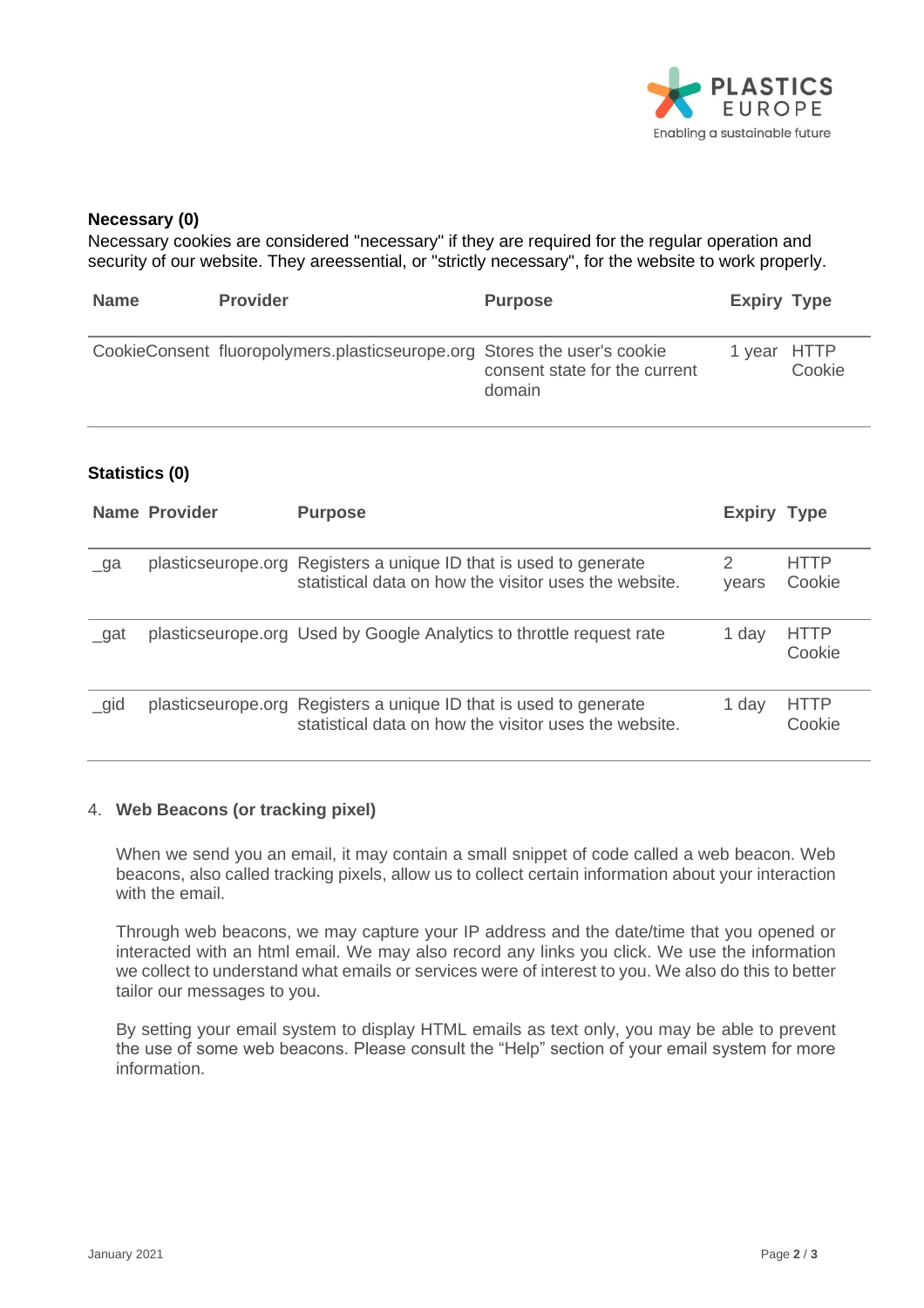

#### **Necessary (0)**

Necessary cookies are considered "necessary" if they are required for the regular operation and security of our website. They areessential, or "strictly necessary", for the website to work properly.

| <b>Name</b> | <b>Provider</b>                                                          | <b>Purpose</b>                          | <b>Expiry Type</b> |        |
|-------------|--------------------------------------------------------------------------|-----------------------------------------|--------------------|--------|
|             | CookieConsent fluoropolymers.plasticseurope.org Stores the user's cookie | consent state for the current<br>domain | 1 year HTTP        | Cookie |

# **Statistics (0)**

|           | <b>Name Provider</b> | <b>Purpose</b>                                                                                                             | <b>Expiry Type</b> |                       |
|-----------|----------------------|----------------------------------------------------------------------------------------------------------------------------|--------------------|-----------------------|
| $\Box$ ga |                      | plasticseurope.org Registers a unique ID that is used to generate<br>statistical data on how the visitor uses the website. | years              | <b>HTTP</b><br>Cookie |
| _gat      |                      | plasticseurope.org Used by Google Analytics to throttle request rate                                                       | 1 day              | <b>HTTP</b><br>Cookie |
| $\_gid$   |                      | plasticseurope.org Registers a unique ID that is used to generate<br>statistical data on how the visitor uses the website. | 1 day              | <b>HTTP</b><br>Cookie |

# 4. **Web Beacons (or tracking pixel)**

When we send you an email, it may contain a small snippet of code called a web beacon. Web beacons, also called tracking pixels, allow us to collect certain information about your interaction with the email.

Through web beacons, we may capture your IP address and the date/time that you opened or interacted with an html email. We may also record any links you click. We use the information we collect to understand what emails or services were of interest to you. We also do this to better tailor our messages to you.

By setting your email system to display HTML emails as text only, you may be able to prevent the use of some web beacons. Please consult the "Help" section of your email system for more information.